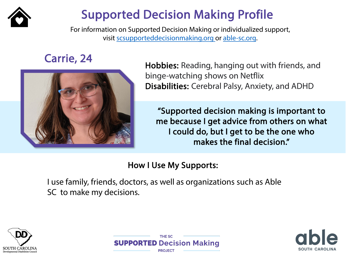

# Supported Decision Making Profile

For information on Supported Decision Making or individualized support, visit [scsupporteddecisionmaking.org](http://scsupporteddecisionmaking.org/) or [able-sc.org.](https://www.able-sc.org/)



**Carrie, 24** Hobbies: Reading, hanging out with friends, and binge-watching shows on Netflix Disabilities: Cerebral Palsy, Anxiety, and ADHD

> "Supported decision making is important to me because I get advice from others on what I could do, but I get to be the one who makes the final decision."

How I Use My Supports:

I use family, friends, doctors, as well as organizations such as Able SC to make my decisions.





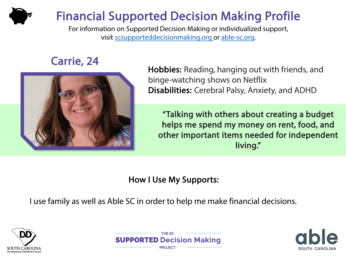# Financial Supported Decision Making Profile

For information on Supported Decision Making or individualized support, visit [scsupporteddecisionmaking.org](http://scsupporteddecisionmaking.org/) or [able-sc.org](https://www.able-sc.org/).



Carrie, 24<br>
Hobbies: Reading, hanging out with friends, and binge-watching shows on Netflix Disabilities: Cerebral Palsy, Anxiety, and ADHD

> "Talking with others about creating a budget helps me spend my money on rent, food, and other important items needed for independent living."

### How I Use My Supports:

I use family as well as Able SC in order to help me make financial decisions.





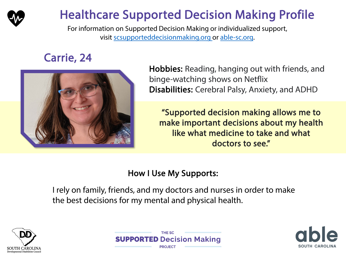

# Healthcare Supported Decision Making Profile

For information on Supported Decision Making or individualized support, visit [scsupporteddecisionmaking.org](http://scsupporteddecisionmaking.org/) or [able-sc.org.](https://www.able-sc.org/)

## Carrie, 24



Hobbies: Reading, hanging out with friends, and binge-watching shows on Netflix Disabilities: Cerebral Palsy, Anxiety, and ADHD

"Supported decision making allows me to make important decisions about my health like what medicine to take and what doctors to see."

## How I Use My Supports:

I rely on family, friends, and my doctors and nurses in order to make the best decisions for my mental and physical health.